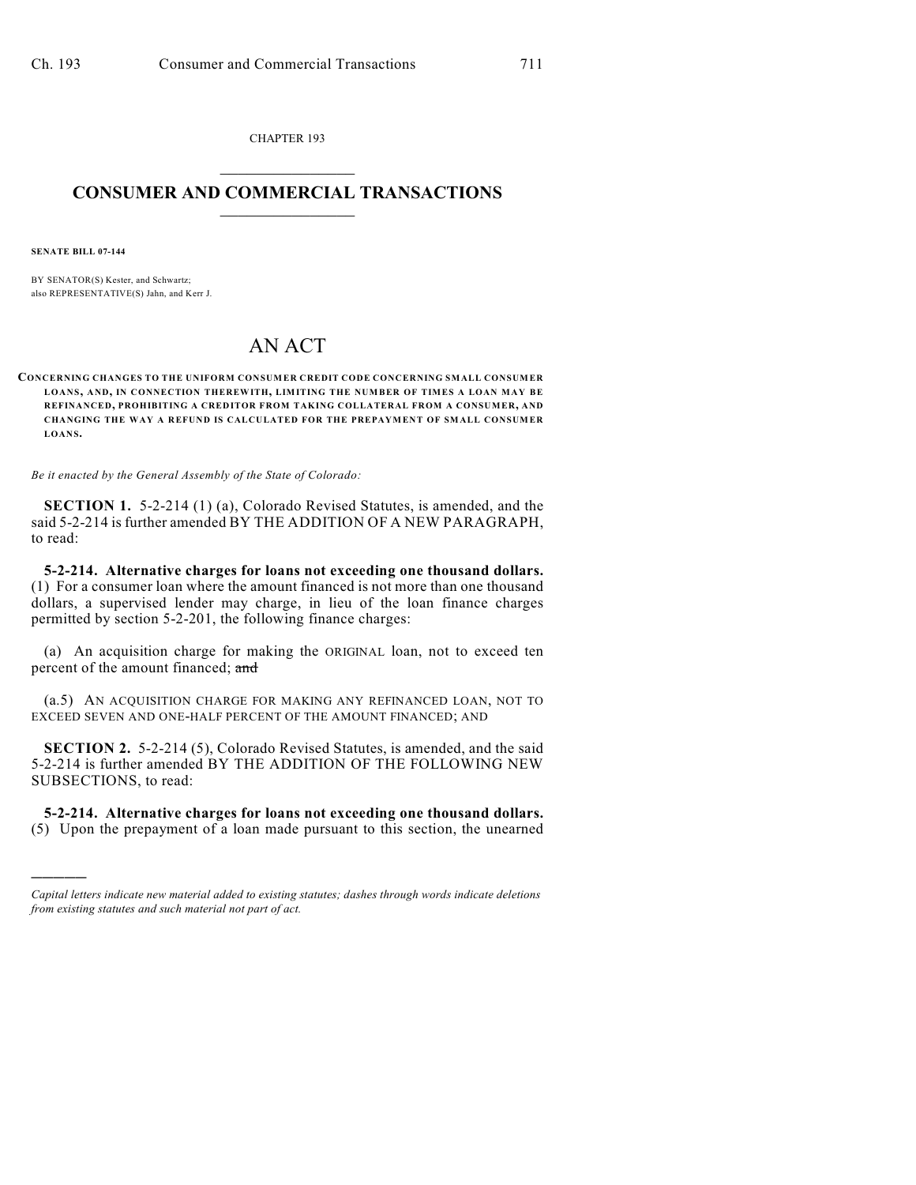CHAPTER 193  $\overline{\phantom{a}}$  . The set of the set of the set of the set of the set of the set of the set of the set of the set of the set of the set of the set of the set of the set of the set of the set of the set of the set of the set o

## **CONSUMER AND COMMERCIAL TRANSACTIONS**  $\frac{1}{2}$  ,  $\frac{1}{2}$  ,  $\frac{1}{2}$  ,  $\frac{1}{2}$  ,  $\frac{1}{2}$  ,  $\frac{1}{2}$

**SENATE BILL 07-144**

)))))

BY SENATOR(S) Kester, and Schwartz; also REPRESENTATIVE(S) Jahn, and Kerr J.

## AN ACT

**CONCERNING CHANGES TO THE UNIFORM CONSUMER CREDIT CODE CONCERNING SMALL CONSUMER LOANS, AND, IN CONNECTION THEREWITH, LIM ITING THE NUMBER OF TIM ES A LOAN M AY BE REFINANCED, PROHIBITING A CREDITOR FROM TAKING COLLATERAL FROM A CONSUMER, AND CHANGING THE WAY A REFUND IS CALCULATED FOR THE PREPAYMENT OF SMALL CONSUMER LOANS.**

*Be it enacted by the General Assembly of the State of Colorado:*

**SECTION 1.** 5-2-214 (1) (a), Colorado Revised Statutes, is amended, and the said 5-2-214 is further amended BY THE ADDITION OF A NEW PARAGRAPH, to read:

**5-2-214. Alternative charges for loans not exceeding one thousand dollars.** (1) For a consumer loan where the amount financed is not more than one thousand dollars, a supervised lender may charge, in lieu of the loan finance charges permitted by section 5-2-201, the following finance charges:

(a) An acquisition charge for making the ORIGINAL loan, not to exceed ten percent of the amount financed; and

(a.5) AN ACQUISITION CHARGE FOR MAKING ANY REFINANCED LOAN, NOT TO EXCEED SEVEN AND ONE-HALF PERCENT OF THE AMOUNT FINANCED; AND

**SECTION 2.** 5-2-214 (5), Colorado Revised Statutes, is amended, and the said 5-2-214 is further amended BY THE ADDITION OF THE FOLLOWING NEW SUBSECTIONS, to read:

**5-2-214. Alternative charges for loans not exceeding one thousand dollars.** (5) Upon the prepayment of a loan made pursuant to this section, the unearned

*Capital letters indicate new material added to existing statutes; dashes through words indicate deletions from existing statutes and such material not part of act.*